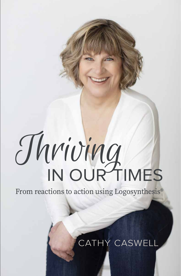# IN OUR TIMES Thriving

From reactions to action using Logosynthesis®

### CATHY CASWELL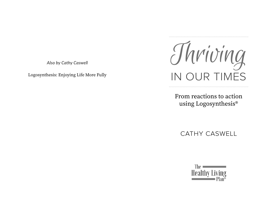*Also by Cathy Caswell*

Logosynthesis: Enjoying Life More Fully



From reactions to action using Logosynthesis®

CATHY CASWELL

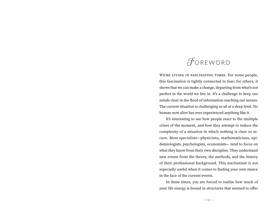### <span id="page-2-0"></span>FOREWORD

WE'RE LIVING IN FASCINATING TIMES. For some people, this fascination is tightly connected to fear; for others, it shows that we can make a change, departing from what's not perfect in the world we live in. It's a challenge to keep our minds clear in the flood of information reaching our senses. The current situation is challenging us all at a deep level. No human now alive has ever experienced anything like it.

It's interesting to see how people react to the multiple crises of the moment, and how they attempt to reduce the complexity of a situation in which nothing is clear or secure. Most specialists—physicians, mathematicians, epidemiologists, psychologists, economists— tend to focus on what they know from their own discipline. They understand new events from the theory, the methods, and the history of their professional background. This mechanism is not especially useful when it comes to finding your own stance in the face of the current events.

In these times, you are forced to realize how much of your life energy is bound in structures that seemed to offer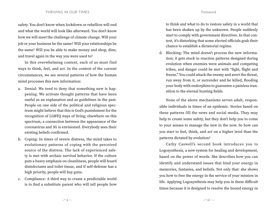#### THRIVING IN OUR TIMES *Foreword*

#### safety. You don't know when lockdown or rebellion will end and what the world will look like afterward. You don't know how we will meet the challenge of climate change. Will your job or your business be the same? Will your relationships be the same? Will you be able to make money and shop, dine, and travel again in the way you were used to?

In this overwhelming context, each of us must find ways to think, feel, and act. In the context of the current circumstances, we see several patterns of how the human mind processes this new information:

- a. Denial: We tend to deny that something new is happening. We activate thought patterns that have been useful as an explanation and as guidelines in the past. People on one side of the political and religious spectrum might believe that this is God's punishment for the recognition of LGBTQ ways of living; elsewhere on this spectrum, a connection between the appearance of the coronavirus and 5G is envisioned. Everybody sees their existing beliefs confirmed.
- b. Coping: In times of severe distress, the mind takes to evolutionary patterns of coping with the perceived source of the distress. The lack of experienced safety is met with archaic survival behavior. If the culture puts a heavy emphasis on cleanliness, people will hoard disinfectants and toilet tissue, and if self-defense has a high priority, people will buy guns.
- c. Compliance: A third way to create a predictable world is to find a substitute parent who will tell people how

to think and what to do to restore safety in a world that has been shaken up by the unknown. People suddenly start to comply with government directives. In that context, it's disturbing that some elected officials grab their chance to establish a dictatorial regime.

d. Blocking: The mind doesn't process the new information; it gets stuck in reaction patterns designed during evolution when enemies were animals and competing tribes, and danger could be met with "fight, flight and freeze." You could attack the enemy and avert the threat, run away from it, or surrender and be killed, flooding your body with endorphins to guarantee a painless transition to the eternal hunting fields.

None of the above mechanisms serves adult, responsible individuals in times of an epidemic. Stories based on these patterns fill the news and social media. They may help to create some safety, but they don't help you to come to your senses to manage the new in the now. So how can you start to feel, think, and act on a higher level than the patterns dictated by evolution?

Cathy Caswell's second book introduces you to Logosynthesis, a new system for healing and development, based on the power of words. She describes how you can identify and understand issues that bind your energy in memories, fantasies, and beliefs. Not only that: she shows you how to free the energy in the service of your mission in life. Applying Logosynthesis may help you in these difficult times because it is designed to resolve the bound energy in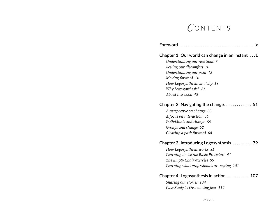### $C$ ONTENTS

#### **Chapter 1: Our world can change in an instant . . [1](#page-6-0)**

*Understanding our reactions [3](#page-7-0) Feeling our discomfort [10](#page--1-0) Understanding our pain [13](#page--1-1) Moving forward [16](#page-10-0) How Logosynthesis can help [19](#page-11-0) Why Logosynthesis? [31](#page--1-2) About this book [45](#page--1-3)*

#### **Chapter 2: Navigating the change . . . . . . . . . . . . . [51](#page--1-4)**

*A perspective on change [53](#page--1-5) A focus on interaction [56](#page--1-6) Individuals and change [59](#page--1-7) Groups and change [62](#page--1-8) Clearing a path forward [68](#page--1-9)*

#### **Chapter 3: Introducing Logosynthesis . . . . . . . . . [79](#page--1-4)**

*How Logosynthesis works [81](#page--1-10) Learning to use the Basic Procedure [91](#page--1-11) The Empty Chair exercise [99](#page--1-12) Learning what professionals are saying [101](#page--1-13)*

#### **Chapter 4: Logosynthesis in action . . . . . . . . . . . [107](#page-13-0)**

*Sharing our stories [109](#page-14-0) Case Study 1: Overcoming fear [112](#page-16-0)*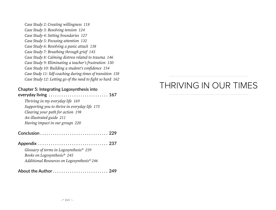*Case Study 2: Creating willingness [118](#page--1-14) Case Study 3: Resolving tension [124](#page--1-15) Case Study 4: Setting boundaries [127](#page--1-16) Case Study 5: Focusing attention [132](#page--1-17) Case Study 6: Resolving a panic attack [138](#page--1-18) Case Study 7: Breathing through grief [143](#page--1-19) Case Study 8: Calming distress related to trauma [146](#page--1-20) Case Study 9: Eliminating a teacher's frustration [150](#page--1-21) Case Study 10: Building a student's confidence [154](#page--1-22) Case Study 11: Self-coaching during times of transition [158](#page--1-23) Case Study 12: Letting go of the need to fight so hard [162](#page--1-23)*

#### **Chapter 5: Integrating Logosynthesis into**

#### **everyday living . . . . . . . . . . . . . . . . . . . . . . . . . . . . [167](#page--1-4)** *Thriving in my everyday life [169](#page--1-24) Supporting you to thrive in everyday life [175](#page--1-25) Clearing your path for action [198](#page--1-26) An illustrated guide [211](#page--1-27) Having impact in our groups [220](#page--1-28)*

#### **Conclusion . . . . . . . . . . . . . . . . . . . . . . . . . . . . . . . . [229](#page--1-29) Appendix . . . . . . . . . . . . . . . . . . . . . . . . . . . . . . . . . [237](#page--1-30)** *Glossary of terms in Logosynthesis® [239](#page--1-31) Books on Logosynthesis® [245](#page--1-32)*

*Additional Resources on Logosynthesis® [246](#page--1-33)*

#### **About the Author . . . . . . . . . . . . . . . . . . . . . . . . . . [249](#page-18-0)**

## THRIVING IN OUR TIMES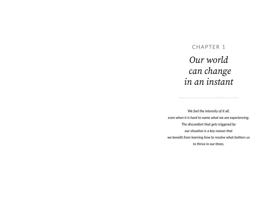## <span id="page-6-0"></span>CHAPTER 1 *Our world can change in an instant*

*We feel the intensity of it all, even when it is hard to name what we are experiencing. The discomfort that gets triggered by our situation is a key reason that we benefit from learning how to resolve what bothers us to thrive in our times.*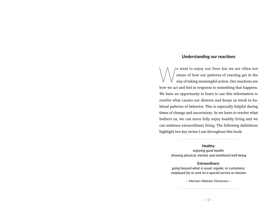#### <span id="page-7-0"></span>*Understanding our reactions*

want to enjoy our lives but we are often not<br>aware of how our patterns of reacting get in the<br>way of taking meaningful action. Our reactions are aware of how our patterns of reacting get in the way of taking meaningful action. Our reactions are how we act and feel in response to something that happens. We have an opportunity to learn to use this information to resolve what causes our distress and keeps us stuck in habitual patterns of behavior. This is especially helpful during times of change and uncertainty. As we learn to resolve what bothers us, we can more fully enjoy healthy living and we can embrace extraordinary living. The following definitions highlight two key terms I use throughout this book:

#### **Healthy:**

*enjoying good health; showing physical, mental, and emotional well-being*

#### **Extraordinary:**

*going beyond what is usual, regular, or customary; employed for or sent on a special service or mission*

> — Merriam-Webster Dictionary —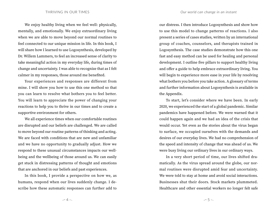We enjoy healthy living when we feel well: physically, mentally, and emotionally. We enjoy extraordinary living when we are able to move beyond our normal routines to feel connected to our unique mission in life. In this book, I will share how I learned to use Logosynthesis, developed by Dr. Willem Lammers, to feel an increased sense of clarity to take meaningful action in my everyday life, during times of change and uncertainty. I was able to recognize that as I felt calmer in my responses, those around me benefited.

Your experiences and responses are different from mine. I will show you how to use this one method so that you can learn to resolve what bothers you to feel better. You will learn to appreciate the power of changing your reactions to help you to thrive in our times and to create a supportive environment for others.

We all experience times when our comfortable routines are disrupted and our beliefs are challenged. We are called to move beyond our routine patterns of thinking and acting. We are faced with conditions that are new and unfamiliar and we have no opportunity to gradually adjust. How we respond to these unusual circumstances impacts our wellbeing and the wellbeing of those around us. We can easily get stuck in distressing patterns of thought and emotions that are anchored in our beliefs and past experiences.

In this book, I provide a perspective on how we, as humans, respond when our lives suddenly change. I describe how these automatic responses can further add to

our distress. I then introduce Logosynthesis and show how to use this model to change patterns of reactions. I also present a series of cases studies, written by an international group of coaches, counselors, and therapists trained in Logosynthesis. The case studies demonstrate how this one fast and easy method can be used for healing and personal development. I outline five pillars to support healthy living and offer a guide to help embrace extraordinary living. You will begin to experience more ease in your life by resolving what bothers you before you take action. A glossary of terms and further information about Logosynthesis is available in the Appendix.

To start, let's consider where we have been. In early 2020, we experienced the start of a global pandemic. Similar pandemics have happened before. We were warned that it could happen again and we had an idea of the crisis that would occur. Yet even as the stories about the virus began to surface, we occupied ourselves with the demands and desires of our everyday lives. We had no comprehension of the speed and intensity of change that was ahead of us. We were busy living our ordinary lives in our ordinary ways.

In a very short period of time, our lives shifted dramatically. As the virus spread around the globe, our normal routines were disrupted amid fear and uncertainty. We were told to stay at home and avoid social interactions. Businesses shut their doors. Stock markets plummeted. Healthcare and other essential workers no longer felt safe

 $4 \sim 5$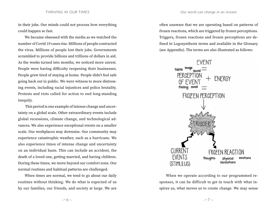in their jobs. Our minds could not process how everything could happen so fast.

We became obsessed with the media as we watched the number of Covid-19 cases rise. Millions of people contracted the virus. Millions of people lost their jobs. Governments scrambled to provide billions and trillions of dollars in aid. As the weeks turned into months, we noticed more unrest. People were having difficulty reopening their businesses. People grew tired of staying at home. People didn't feel safe going back out in public. We were witness to more distressing events, including racial injustices and police brutality. Protests and riots called for action to end long-standing inequity.

 This period is one example of intense change and uncertainty on a global scale. Other extraordinary events include global recessions, climate change, and technological advances. We also experience exceptional events on a smaller scale. Our workplaces may downsize. Our community may experience catastrophic weather, such as a hurricane. We also experience times of intense change and uncertainty on an individual basis. This can include an accident, the death of a loved one, getting married, and having children. During these times, we move beyond our comfort zone. Our normal routines and habitual patterns are challenged.

When times are normal, we tend to go about our daily routines without thinking. We do what is expected of us by our families, our friends, and society at large. We are

often unaware that we are operating based on patterns of frozen reactions, which are triggered by frozen perceptions. Triggers, frozen reactions and frozen perceptions are defined in Logosynthesis terms and available in the Glossary (see Appendix). The terms are also illustrated as follows:



When we operate according to our programmed responses, it can be difficult to get in touch with what inspires us, what moves us to create change. We may sense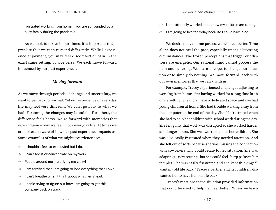frustrated working from home if you are surrounded by a busy family during the pandemic.

As we look to thrive in our times, it is important to appreciate that we each respond differently. While I experience enjoyment, you may feel discomfort or pain in the exact same setting, or vice versa. We each move forward influenced by our past experiences.

#### <span id="page-10-0"></span>*Moving forward*

As we move through periods of change and uncertainty, we want to get back to normal. Yet our experience of everyday life may feel very different. We can't go back to what we had. For some, the changes may be subtle. For others, the difference feels heavy. We go forward with memories that now influence how we feel in our everyday life. At times we are not even aware of how our past experience impacts us. Some examples of what we might experience are:

- $\infty$  I shouldn't feel so exhausted but I do.
- $\sqrt{m}$  I can't focus or concentrate on my work.
- $\sqrt{q}$  People around me are driving me crazy!
- $\sqrt{m}$  I am terrified that I am going to lose everything that I own.
- $\infty$  I can't breathe when I think about what lies ahead.
- $\sqrt{m}$  I panic trying to figure out how I am going to get this company back on track.
- $\sqrt{m}$  I am extremely worried about how my children are coping.
- $\sqrt{m}$  I am going to live for today because I could have died!

We desire that, as time passes, we will feel better. Time alone does not heal the past, especially under distressing circumstances. The frozen perceptions that trigger our distress are energetic. Our rational mind cannot process the pain and suffering. We learn to cope, to change our situation or to simply do nothing. We move forward, each with our own memories that we carry with us.

For example, Tracey experienced challenges adjusting to working from home after having worked for a long time in an office setting. She didn't have a dedicated space and she had young children at home. She had trouble walking away from the computer at the end of the day. She felt frustrated when she had to help her children with school work during the day. She felt guilty that work was disrupted so she worked harder and longer hours. She was worried about her children. She was also easily frustrated when they needed attention. And she felt out of sorts because she was missing the connection with coworkers who could relate to her situation. She was adapting to new routines but she could feel sharp pains in her temples. She was easily frustrated and she kept thinking: "I want my old life back!" Tracey's partner and her children also wanted her to have her old life back.

Tracey's reactions to the situation provided information that could be used to help her feel better. When we learn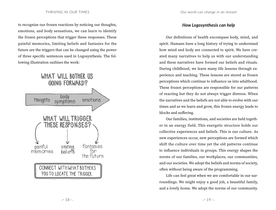to recognize our frozen reactions by noticing our thoughts, emotions, and body sensations, we can learn to identify the frozen perceptions that trigger these responses. These painful memories, limiting beliefs and fantasies for the future are the triggers that can be changed using the power of three specific sentences used in Logosynthesis. The following illustration outlines the work:



#### <span id="page-11-0"></span>*How Logosynthesis can help*

Our definitions of health encompass body, mind, and spirit. Humans have a long history of trying to understand how mind and body are connected to spirit. We have created many narratives to help us with our understanding and these narratives have formed our beliefs and rituals. During childhood, we learn many life lessons through experience and teaching. These lessons are stored as frozen perceptions which continue to influence us into adulthood. These frozen perceptions are responsible for our patterns of reacting but they do not always trigger distress. When the narratives and the beliefs are not able to evolve with our times and as we learn and grow, this frozen energy leads to blocks and suffering.

Our families, institutions, and societies are held together in an energy field. This energetic structure holds our collective experiences and beliefs. This is our culture. As new experiences occur, new perceptions are formed which shift the culture over time yet the old patterns continue to influence individuals in groups. This energy shapes the norms of our families, our workplaces, our communities, and our societies. We adopt the beliefs and norms of society, often without being aware of the programming.

Life can feel great when we are comfortable in our surroundings. We might enjoy a good job, a beautiful family, and a lovely home. We adopt the norms of our community.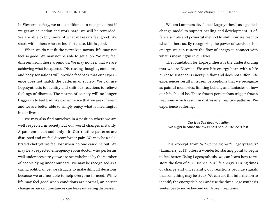In Western society, we are conditioned to recognize that if we get an education and work hard, we will be rewarded. We are able to buy more of what makes us feel good. We share with others who are less fortunate. Life is good.

When we do not fit the perceived norms, life may not feel so good. We may not be able to get a job. We may feel different from those around us. We may not feel that we are achieving what is expected. Distressing thoughts, emotions, and body sensations will provide feedback that our experience does not match the patterns of society. We can use Logosynthesis to identify and shift our reactions to relieve feelings of distress. The norms of society will no longer trigger us to feel bad. We can embrace that we are different and we are better able to simply enjoy what is meaningful in our lives.

We may also find ourselves in a position where we are well respected in society but our world changes instantly. A pandemic can suddenly hit. Our routine patterns are disrupted and we feel discomfort or pain. We may be a celebrated chef yet we feel lost when no one can dine out. We may be a respected emergency room doctor who performs well under pressure yet we are overwhelmed by the number of people dying under our care. We may be recognized as a caring politician yet we struggle to make difficult decisions because we are not able to help everyone in need. While life may feel good when conditions are normal, an abrupt change in our circumstances can leave us feeling distressed.

Willem Lammers developed Logosynthesis as a guidedchange model to support healing and development. It offers a simple and powerful method to shift how we react to what bothers us. By recognizing the power of words to shift energy, we can restore the flow of energy to connect with what is meaningful in our lives.

The foundation for Logosynthesis is the understanding that we are Essence. We are life energy born with a life purpose. Essence is energy in flow and does not suffer. Life experiences result in frozen perceptions that we recognize as painful memories, limiting beliefs, and fantasies of how our life should be. These frozen perceptions trigger frozen reactions which result in distressing, reactive patterns. We experience suffering.

*Our true Self does not suffer. We suffer because the awareness of our Essence is lost.* 

This excerpt from *Self Coaching with Logosynthesis®* (Lammers, 2015) offers a wonderful starting point to begin to feel better. Using Logosynthesis, we can learn how to restore the flow of our Essence, our life energy. During times of change and uncertainty, our reactions provide signals that something may be stuck. We can use this information to identify the energetic block and use the three Logosynthesis sentences to move beyond our frozen reactions.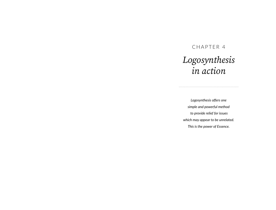### <span id="page-13-0"></span>CHAPTER 4

### *Logosynthesis in action*

*Logosynthesis offers one simple and powerful method to provide relief for issues which may appear to be unrelated. This is the power of Essence.*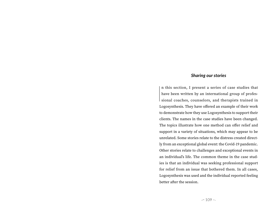#### <span id="page-14-0"></span>*Sharing our stories*

If this section, I present a series of case studies that<br>have been written by an international group of profes-<br>sional coaches, counselors, and therapists trained in n this section, I present a series of case studies that have been written by an international group of profes-Logosynthesis. They have offered an example of their work to demonstrate how they use Logosynthesis to support their clients. The names in the case studies have been changed. The topics illustrate how one method can offer relief and support in a variety of situations, which may appear to be unrelated. Some stories relate to the distress created directly from an exceptional global event: the Covid-19 pandemic. Other stories relate to challenges and exceptional events in an individual's life. The common theme in the case studies is that an individual was seeking professional support for relief from an issue that bothered them. In all cases, Logosynthesis was used and the individual reported feeling better after the session.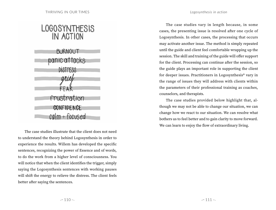### LOGOSYNTHESIS IN ACTION

**BURNOUT** panic attacks DISTPESS grief FFAR Frustration **CONFIDENCE**  $cal + focused$ 

The case studies illustrate that the client does not need to understand the theory behind Logosynthesis in order to experience the results. Willem has developed the specific sentences, recognizing the power of Essence and of words, to do the work from a higher level of consciousness. You will notice that when the client identifies the trigger, simply saying the Logosynthesis sentences with working pauses will shift the energy to relieve the distress. The client feels better after saying the sentences.

The case studies vary in length because, in some cases, the presenting issue is resolved after one cycle of Logosynthesis. In other cases, the processing that occurs may activate another issue. The method is simply repeated until the guide and client feel comfortable wrapping up the session. The skill and training of the guide will offer support for the client. Processing can continue after the session, so the guide plays an important role in supporting the client for deeper issues. Practitioners in Logosynthesis® vary in the range of issues they will address with clients within the parameters of their professional training as coaches, counselors, and therapists.

The case studies provided below highlight that, although we may not be able to change our situation, we can change how we react to our situation. We can resolve what bothers us to feel better and to gain clarity to move forward. We can learn to enjoy the flow of extraordinary living.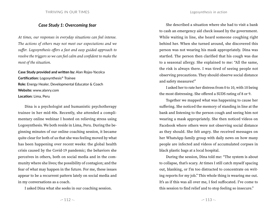#### <span id="page-16-0"></span>*Case Study 1: Overcoming fear*

*At times, our responses in everyday situations can feel intense. The actions of others may not meet our expectations and we suffer. Logosynthesis offers a fast and easy guided approach to resolve the triggers so we can feel calm and confident to make the most of the situation.*

**Case Study provided and written by:** Alan Rojas-Yacolca **Certification:** Logosynthesis® Trainee **Role:** Energy Healer, Developmental Educator & Coach **Website:** www.alanry.com **Location:** Lima, Peru

Dina is a psychologist and humanistic psychotherapy trainee in her mid-40s. Recently, she attended a complimentary online webinar I hosted on relieving stress using Logosynthesis. We both reside in Lima, Peru. During the beginning minutes of our online coaching session, it became quite clear for both of us that she was feeling moved by what has been happening over recent weeks: the global health crisis caused by the Covid-19 pandemic; the behaviors she perceives in others, both on social media and in the community where she lives; the possibility of contagion; and the fear of what may happen in the future. For me, these issues appear to be a recurrent pattern lately on social media and in my conversations as a coach.

I asked Dina what she seeks in our coaching session.

She described a situation where she had to visit a bank to cash an emergency aid check issued by the government. While waiting in line, she heard someone coughing right behind her. When she turned around, she discovered this person was not wearing his mask appropriately. Dina was startled. The person then clarified that his cough was due to a seasonal allergy. She explained to me: "All the same, the risk is always there. I was tired of seeing people not observing precautions. They should observe social distance and safety measures!"

I asked her to rate her distress from 0 to 10, with 10 being the most distressing. She offered a SUDS rating of 8 or 9.

Together we mapped what was happening to cause her suffering. She noticed the memory of standing in line at the bank and listening to the person cough and seeing him not wearing a mask appropriately. She then noticed videos on Facebook where others were not observing social distance as they should. She felt angry. She received messages on her WhatsApp family group with daily news on how many people are infected and videos of accumulated corpses in black plastic bags at a local hospital.

During the session, Dina told me: "The system is about to collapse, that's scary. At times I still catch myself spacing out, blanking, or I'm too distracted to concentrate on writing reports for my job." This whole thing is wearing me out. It's as if this was all over me, I feel suffocated. I've come to this session to find relief and to stop feeling so insecure."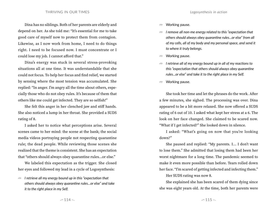Dina has no siblings. Both of her parents are elderly and depend on her. As she told me: "It's essential for me to take good care of myself now to protect them from contagion. Likewise, as I now work from home, I need to do things right. I need to be focused now. I must concentrate or I could lose my job. I cannot afford that."

Dina's energy was stuck in several stress-provoking situations all at one time. It was understandable that she could not focus. To help her focus and find relief, we started by sensing where the most tension was accumulated. She replied: "In anger. I'm angry all the time about others, especially those who do not obey rules. It's because of them that others like me could get infected. They are so selfish!"

She felt this anger in her clenched jaw and stiff hands. She also noticed a lump in her throat. She provided a SUDS rating of 8.

I asked her to notice what perceptions arise. Several scenes came to her mind: the scene at the bank; the social media videos portraying people not respecting quarantine rule; the dead people. While reviewing those scenes she realized that the theme is consistent. She has an expectation that "others should always obey quarantine rules…or else."

We labeled this expectation as the trigger. She closed her eyes and followed my lead in a cycle of Logosynthesis:

*I* **retrieve all my energy bound up in this "expectation that** *others should always obey quarantine rules...or else" and take it to the right place in my Self.*

- $\sqrt{m}$  Working pause.
- $\sqrt{m}$  I remove all non-me energy related to this "expectation that *others should always obey quarantine rules...or else" from all of my cells, all of my body and my personal space, and send it to where it truly belongs.*
- $\sqrt{m}$  Working pause.
- $\sqrt{m}$  I retrieve all of my energy bound up in all of my reactions to *this "expectation that others should always obey quarantine rules...or else" and take it to the right place in my Self.*
- *FOR* Working pause.

She took her time and let the phrases do the work. After a few minutes, she sighed. The processing was over. Dina appeared to be a bit more relaxed. She now offered a SUDS rating of 6 out of 10. I asked what kept her stress at a 6. The look on her face changed. She claimed to be scared now. "What if I get infected?" She looked down in silence.

I asked: "What's going on now that you're looking down?"

She paused and replied: "My parents. I... I don't want to lose them." She admitted that losing them had been her worst nightmare for a long time. The pandemic seemed to make it even more possible than before. Tears rolled down her face. "I'm scared of getting infected and infecting them."

Her SUDS rating was now 8.

She explained she has been scared of them dying since she was eight years old. At the time, both her parents were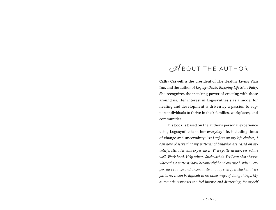### <span id="page-18-0"></span>**ABOUT THE AUTHOR**

**Cathy Caswell** is the president of The Healthy Living Plan Inc. and the author of *Logosynthesis: Enjoying Life More Fully*. She recognizes the inspiring power of creating with those around us. Her interest in Logosynthesis as a model for healing and development is driven by a passion to support individuals to thrive in their families, workplaces, and communities.

This book is based on the author's personal experience using Logosynthesis in her everyday life, including times of change and uncertainty: *'As I reflect on my life choices, I can now observe that my patterns of behavior are based on my beliefs, attitudes, and experiences. These patterns have served me well. Work hard. Help others. Stick with it. Yet I can also observe where these patterns have become rigid and overused. When I experience change and uncertainty and my energy is stuck in these patterns, it can be difficult to see other ways of doing things. My automatic responses can feel intense and distressing, for myself*